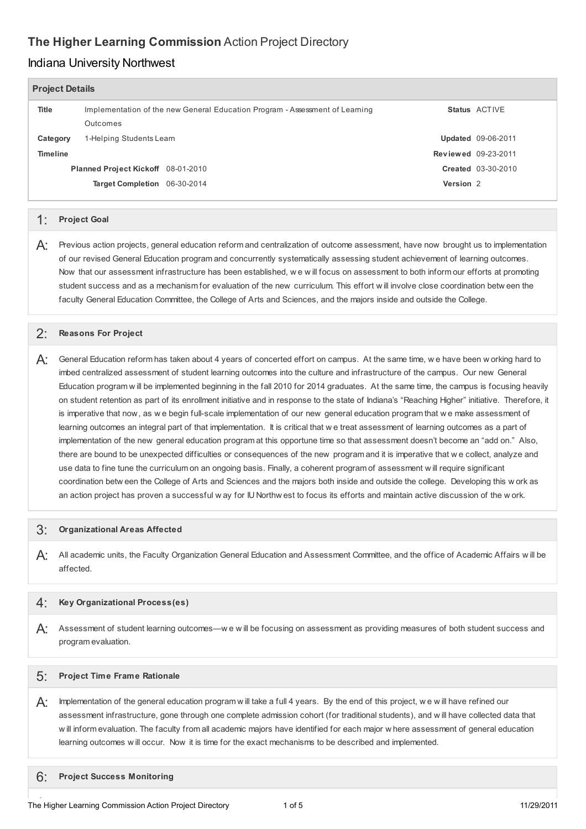# **The Higher Learning Commission** Action Project Directory

### Indiana University Northwest

| <b>Project Details</b> |                                                                                          |                      |                            |
|------------------------|------------------------------------------------------------------------------------------|----------------------|----------------------------|
| Title                  | Implementation of the new General Education Program - Assessment of Learning<br>Outcomes |                      | Status ACTIVE              |
| Category               | 1-Helping Students Learn                                                                 |                      | <b>Updated 09-06-2011</b>  |
| <b>Timeline</b>        |                                                                                          |                      | <b>Reviewed 09-23-2011</b> |
|                        | Planned Project Kickoff 08-01-2010                                                       |                      | <b>Created 03-30-2010</b>  |
|                        | Target Completion 06-30-2014                                                             | Version <sub>2</sub> |                            |

### 1: **Project Goal**

 $\bm{\mathsf{A}}$ : Previous action projects, general education reform and centralization of outcome assessment, have now brought us to implementation of our revised General Education program and concurrently systematically assessing student achievement of learning outcomes. Now that our assessment infrastructure has been established, w e w ill focus on assessment to both inform our efforts at promoting student success and as a mechanism for evaluation of the new curriculum. This effort w ill involve close coordination betw een the faculty General Education Committee, the College of Arts and Sciences, and the majors inside and outside the College.

# 2: **Reasons For Project**

 $\mathsf{A}$ : General Education reform has taken about 4 years of concerted effort on campus. At the same time, w e have been w orking hard to imbed centralized assessment of student learning outcomes into the culture and infrastructure of the campus. Our new General Education program w ill be implemented beginning in the fall 2010 for 2014 graduates. At the same time, the campus is focusing heavily on student retention as part of its enrollment initiative and in response to the state of Indiana's "Reaching Higher" initiative. Therefore, it is imperative that now, as w e begin full-scale implementation of our new general education program that w e make assessment of learning outcomes an integral part of that implementation. It is critical that w e treat assessment of learning outcomes as a part of implementation of the new general education program at this opportune time so that assessment doesn't become an "add on." Also, there are bound to be unexpected difficulties or consequences of the new program and it is imperative that w e collect, analyze and use data to fine tune the curriculum on an ongoing basis. Finally, a coherent program of assessment w ill require significant coordination betw een the College of Arts and Sciences and the majors both inside and outside the college. Developing this w ork as an action project has proven a successful w ay for IU Northw est to focus its efforts and maintain active discussion of the w ork.

# 3: **Organizational Areas Affected**

 $A$ : All academic units, the Faculty Organization General Education and Assessment Committee, and the office of Academic Affairs w ill be affected.

#### $\mathcal{A}$ **Key Organizational Process(es)**

 Assessment of student learning outcomes—w e w ill be focusing on assessment as providing measures of both student success and A: program evaluation.

# 5: **Project Time Frame Rationale**

 $\bm{\mathsf{A}}$ : Implementation of the general education program w ill take a full 4 years. By the end of this project, w e w ill have refined our assessment infrastructure, gone through one complete admission cohort (for traditional students), and w ill have collected data that w ill inform evaluation. The faculty from all academic majors have identified for each major w here assessment of general education learning outcomes w ill occur. Now it is time for the exact mechanisms to be described and implemented.

 **Project Success Monitoring** 6: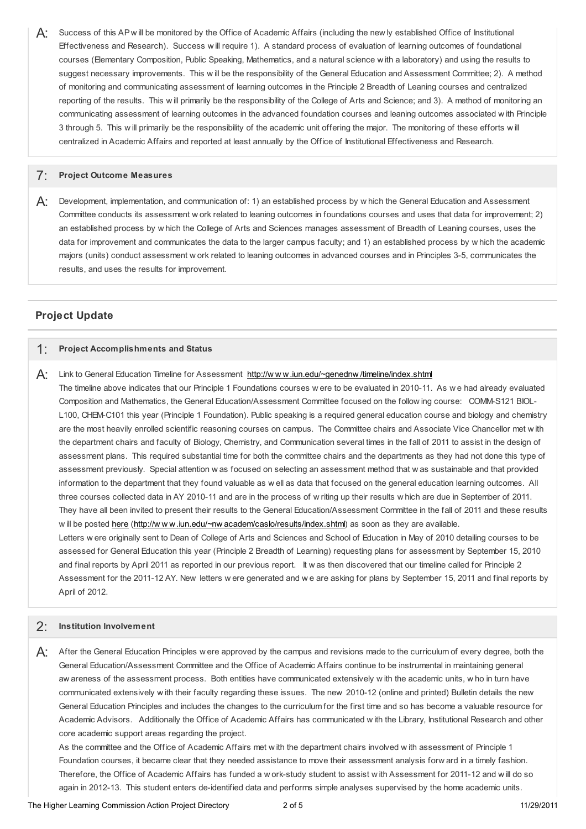$A$ : Success of this AP will be monitored by the Office of Academic Affairs (including the new ly established Office of Institutional Effectiveness and Research). Success w ill require 1). A standard process of evaluation of learning outcomes of foundational courses (Elementary Composition, Public Speaking, Mathematics, and a natural science w ith a laboratory) and using the results to suggest necessary improvements. This w ill be the responsibility of the General Education and Assessment Committee; 2). A method of monitoring and communicating assessment of learning outcomes in the Principle 2 Breadth of Leaning courses and centralized reporting of the results. This w ill primarily be the responsibility of the College of Arts and Science; and 3). A method of monitoring an communicating assessment of learning outcomes in the advanced foundation courses and leaning outcomes associated w ith Principle 3 through 5. This w ill primarily be the responsibility of the academic unit offering the major. The monitoring of these efforts w ill centralized in Academic Affairs and reported at least annually by the Office of Institutional Effectiveness and Research.

# 7: **Project Outcome Measures**

 $A$ : Development, implementation, and communication of: 1) an established process by w hich the General Education and Assessment Committee conducts its assessment w ork related to leaning outcomes in foundations courses and uses that data for improvement; 2) an established process by w hich the College of Arts and Sciences manages assessment of Breadth of Leaning courses, uses the data for improvement and communicates the data to the larger campus faculty; and 1) an established process by w hich the academic majors (units) conduct assessment w ork related to leaning outcomes in advanced courses and in Principles 3-5, communicates the results, and uses the results for improvement.

### **Project Update**

# 1: **Project Accomplishments and Status**

A: Link to General Education Timeline for Assessment http://www.iun.edu/~genednw/timeline/index.shtml The timeline above indicates that our Principle 1 Foundations courses w ere to be evaluated in 2010-11. As w e had already evaluated Composition and Mathematics, the General Education/Assessment Committee focused on the follow ing course: COMM-S121 BIOL- L100, CHEM-C101 this year (Principle 1 Foundation). Public speaking is a required general education course and biology and chemistry are the most heavily enrolled scientific reasoning courses on campus. The Committee chairs and Associate Vice Chancellor met w ith the department chairs and faculty of Biology, Chemistry, and Communication several times in the fall of 2011 to assist in the design of assessment plans. This required substantial time for both the committee chairs and the departments as they had not done this type of assessment previously. Special attention w as focused on selecting an assessment method that w as sustainable and that provided information to the department that they found valuable as w ell as data that focused on the general education learning outcomes. All three courses collected data in AY 2010-11 and are in the process of w riting up their results w hich are due in September of 2011. They have all been invited to present their results to the General Education/Assessment Committee in the fall of 2011 and these results w ill be posted [here](http://www.iun.edu/~nwacadem/caslo/results/index.shtml) (http://w w w.iun.edu/~nw [academ/caslo/results/index.shtml](http://www.iun.edu/~nwacadem/caslo/results/index.shtml)) as soon as they are available. Letters w ere originally sent to Dean of College of Arts and Sciences and School of Education in May of 2010 detailing courses to be assessed for General Education this year (Principle 2 Breadth of Learning) requesting plans for assessment by September 15, 2010 and final reports by April 2011 as reported in our previous report. It w as then discovered that our timeline called for Principle 2 Assessment for the 2011-12 AY. New letters w ere generated and w e are asking for plans by September 15, 2011 and final reports by April of 2012.

#### 2: **Institution Involvement**

 $A$ : After the General Education Principles w ere approved by the campus and revisions made to the curriculum of every degree, both the General Education/Assessment Committee and the Office of Academic Affairs continue to be instrumental in maintaining general aw areness of the assessment process. Both entities have communicated extensively w ith the academic units, w ho in turn have communicated extensively w ith their faculty regarding these issues. The new 2010-12 (online and printed) Bulletin details the new General Education Principles and includes the changes to the curriculum for the first time and so has become a valuable resource for Academic Advisors. Additionally the Office of Academic Affairs has communicated w ith the Library, Institutional Research and other core academic support areas regarding the project.

 As the committee and the Office of Academic Affairs met w ith the department chairs involved w ith assessment of Principle 1 Foundation courses, it became clear that they needed assistance to move their assessment analysis forw ard in a timely fashion. Therefore, the Office of Academic Affairs has funded a w ork-study student to assist w ith Assessment for 2011-12 and w ill do so again in 2012-13. This student enters de-identified data and performs simple analyses supervised by the home academic units.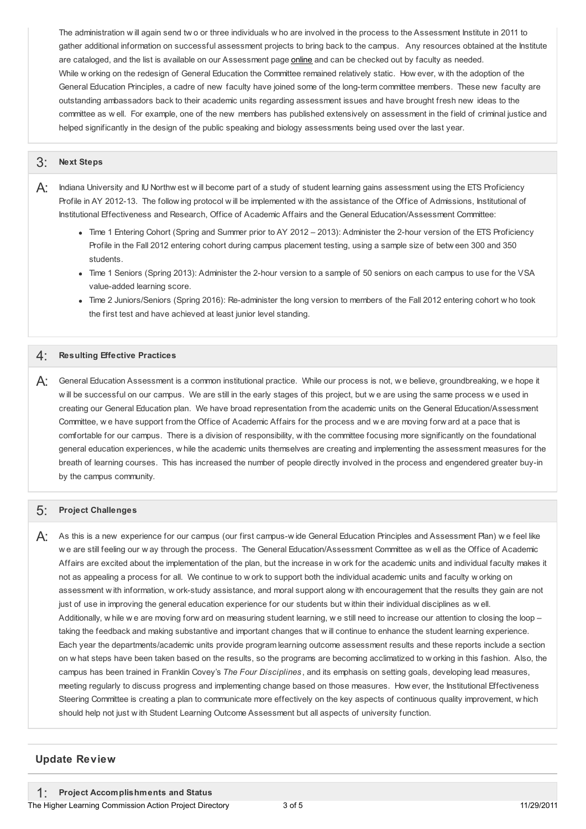The administration w ill again send tw o or three individuals w ho are involved in the process to the Assessment Institute in 2011 to gather additional information on successful assessment projects to bring back to the campus. Any resources obtained at the Institute are cataloged, and the list is available on our Assessment page **[online](http://www.iun.edu/~nwacadem/caslo/resources/index.shtml)** and can be checked out by faculty as needed. While w orking on the redesign of General Education the Committee remained relatively static. How ever, w ith the adoption of the General Education Principles, a cadre of new faculty have joined some of the long-term committee members. These new faculty are outstanding ambassadors back to their academic units regarding assessment issues and have brought fresh new ideas to the committee as w ell. For example, one of the new members has published extensively on assessment in the field of criminal justice and helped significantly in the design of the public speaking and biology assessments being used over the last year.

### 3: **Next Steps**

 $\bm{\mathsf{A}}$ : Indiana University and IU Northw est w ill become part of a study of student learning gains assessment using the ETS Proficiency Profile in AY 2012-13. The follow ing protocol w ill be implemented w ith the assistance of the Office of Admissions, Institutional of Institutional Effectiveness and Research, Office of Academic Affairs and the General Education/Assessment Committee:

- Time 1 Entering Cohort (Spring and Summer prior to AY 2012 2013): Administer the 2-hour version of the ETS Proficiency Profile in the Fall 2012 entering cohort during campus placement testing, using a sample size of betw een 300 and 350 students.
- Time 1 Seniors (Spring 2013): Administer the 2-hour version to a sample of 50 seniors on each campus to use for the VSA value-added learning score.
- Time 2 Juniors/Seniors (Spring 2016): Re-administer the long version to members of the Fall 2012 entering cohort w ho took the first test and have achieved at least junior level standing.

# 4: **Resulting Effective Practices**

 $A$ : General Education Assessment is a common institutional practice. While our process is not, w e believe, groundbreaking, w e hope it w ill be successful on our campus. We are still in the early stages of this project, but w e are using the same process w e used in creating our General Education plan. We have broad representation from the academic units on the General Education/Assessment Committee, w e have support from the Office of Academic Affairs for the process and w e are moving forw ard at a pace that is comfortable for our campus. There is a division of responsibility, w ith the committee focusing more significantly on the foundational general education experiences, w hile the academic units themselves are creating and implementing the assessment measures for the breath of learning courses. This has increased the number of people directly involved in the process and engendered greater buy-in by the campus community.

#### 5: **Project Challenges**

 $A$ : As this is a new experience for our campus (our first campus-wide General Education Principles and Assessment Plan) we feel like w e are still feeling our w ay through the process. The General Education/Assessment Committee as w ell as the Office of Academic Affairs are excited about the implementation of the plan, but the increase in w ork for the academic units and individual faculty makes it not as appealing a process for all. We continue to w ork to support both the individual academic units and faculty w orking on assessment w ith information, w ork-study assistance, and moral support along w ith encouragement that the results they gain are not just of use in improving the general education experience for our students but w ithin their individual disciplines as w ell. Additionally, w hile w e are moving forw ard on measuring student learning, w e still need to increase our attention to closing the loop – taking the feedback and making substantive and important changes that w ill continue to enhance the student learning experience. Each year the departments/academic units provide program learning outcome assessment results and these reports include a section on w hat steps have been taken based on the results, so the programs are becoming acclimatized to w orking in this fashion. Also, the campus has been trained in Franklin Covey's *The Four Disciplines* , and its emphasis on setting goals, developing lead measures, meeting regularly to discuss progress and implementing change based on those measures. How ever, the Institutional Effectiveness Steering Committee is creating a plan to communicate more effectively on the key aspects of continuous quality improvement, w hich should help not just w ith Student Learning Outcome Assessment but all aspects of university function.

### **Update Review**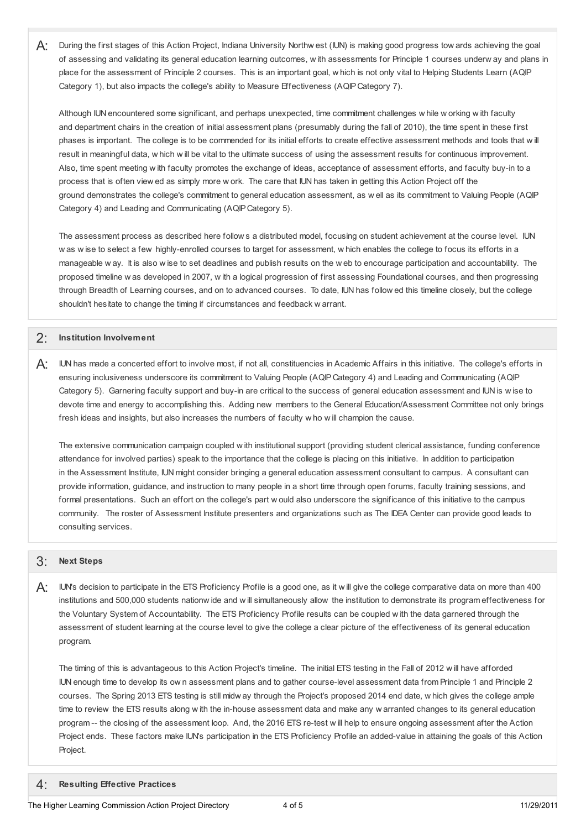$\mathsf{A}$ : During the first stages of this Action Project, Indiana University Northw est (IUN) is making good progress tow ards achieving the goal of assessing and validating its general education learning outcomes, w ith assessments for Principle 1 courses underw ay and plans in place for the assessment of Principle 2 courses. This is an important goal, w hich is not only vital to Helping Students Learn (AQIP Category 1), but also impacts the college's ability to Measure Effectiveness (AQIPCategory 7).

 Although IUN encountered some significant, and perhaps unexpected, time commitment challenges w hile w orking w ith faculty and department chairs in the creation of initial assessment plans (presumably during the fall of 2010), the time spent in these first phases is important. The college is to be commended for its initial efforts to create effective assessment methods and tools that w ill result in meaningful data, w hich w ill be vital to the ultimate success of using the assessment results for continuous improvement. Also, time spent meeting w ith faculty promotes the exchange of ideas, acceptance of assessment efforts, and faculty buy-in to a process that is often view ed as simply more w ork. The care that IUN has taken in getting this Action Project off the ground demonstrates the college's commitment to general education assessment, as w ell as its commitment to Valuing People (AQIP Category 4) and Leading and Communicating (AQIPCategory 5).

 The assessment process as described here follow s a distributed model, focusing on student achievement at the course level. IUN w as w ise to select a few highly-enrolled courses to target for assessment, w hich enables the college to focus its efforts in a manageable w ay. It is also w ise to set deadlines and publish results on the w eb to encourage participation and accountability. The proposed timeline w as developed in 2007, w ith a logical progression of first assessing Foundational courses, and then progressing through Breadth of Learning courses, and on to advanced courses. To date, IUN has follow ed this timeline closely, but the college shouldn't hesitate to change the timing if circumstances and feedback w arrant.

### 2: **Institution Involvement**

 $\mathsf{A}$ : IUN has made a concerted effort to involve most, if not all, constituencies in Academic Affairs in this initiative. The college's efforts in ensuring inclusiveness underscore its commitment to Valuing People (AQIPCategory 4) and Leading and Communicating (AQIP Category 5). Garnering faculty support and buy-in are critical to the success of general education assessment and IUN is w ise to devote time and energy to accomplishing this. Adding new members to the General Education/Assessment Committee not only brings fresh ideas and insights, but also increases the numbers of faculty w ho w ill champion the cause.

 The extensive communication campaign coupled w ith institutional support (providing student clerical assistance, funding conference attendance for involved parties) speak to the importance that the college is placing on this initiative. In addition to participation in the Assessment Institute, IUN might consider bringing a general education assessment consultant to campus. A consultant can provide information, guidance, and instruction to many people in a short time through open forums, faculty training sessions, and formal presentations. Such an effort on the college's part w ould also underscore the significance of this initiative to the campus community. The roster of Assessment Institute presenters and organizations such as The IDEA Center can provide good leads to consulting services.

### 3: **Next Steps**

 $A$ : IUN's decision to participate in the ETS Proficiency Profile is a good one, as it will give the college comparative data on more than 400 institutions and 500,000 students nationw ide and w ill simultaneously allow the institution to demonstrate its program effectiveness for the Voluntary System of Accountability. The ETS Proficiency Profile results can be coupled w ith the data garnered through the assessment of student learning at the course level to give the college a clear picture of the effectiveness of its general education program.

 The timing of this is advantageous to this Action Project's timeline. The initial ETS testing in the Fall of 2012 w ill have afforded IUN enough time to develop its ow n assessment plans and to gather course-level assessment data from Principle 1 and Principle 2 courses. The Spring 2013 ETS testing is still midw ay through the Project's proposed 2014 end date, w hich gives the college ample time to review the ETS results along w ith the in-house assessment data and make any w arranted changes to its general education program -- the closing of the assessment loop. And, the 2016 ETS re-test w ill help to ensure ongoing assessment after the Action Project ends. These factors make IUN's participation in the ETS Proficiency Profile an added-value in attaining the goals of this Action Project.

# 4: **Resulting Effective Practices**